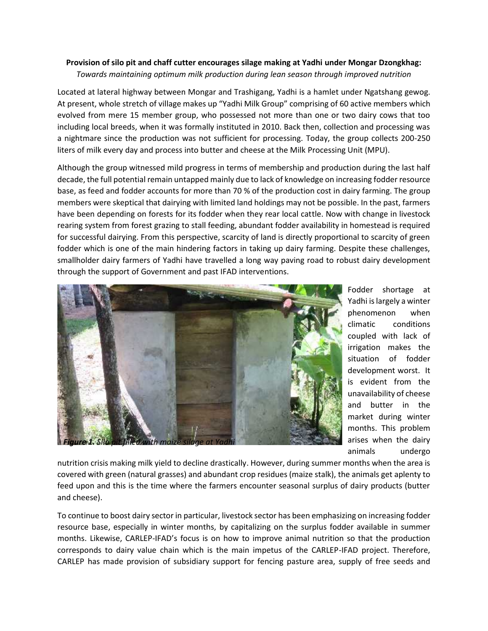## **Provision of silo pit and chaff cutter encourages silage making at Yadhi under Mongar Dzongkhag:** *Towards maintaining optimum milk production during lean season through improved nutrition*

Located at lateral highway between Mongar and Trashigang, Yadhi is a hamlet under Ngatshang gewog. At present, whole stretch of village makes up "Yadhi Milk Group" comprising of 60 active members which evolved from mere 15 member group, who possessed not more than one or two dairy cows that too including local breeds, when it was formally instituted in 2010. Back then, collection and processing was a nightmare since the production was not sufficient for processing. Today, the group collects 200-250 liters of milk every day and process into butter and cheese at the Milk Processing Unit (MPU).

Although the group witnessed mild progress in terms of membership and production during the last half decade, the full potential remain untapped mainly due to lack of knowledge on increasing fodder resource base, as feed and fodder accounts for more than 70 % of the production cost in dairy farming. The group members were skeptical that dairying with limited land holdings may not be possible. In the past, farmers have been depending on forests for its fodder when they rear local cattle. Now with change in livestock rearing system from forest grazing to stall feeding, abundant fodder availability in homestead is required for successful dairying. From this perspective, scarcity of land is directly proportional to scarcity of green fodder which is one of the main hindering factors in taking up dairy farming. Despite these challenges, smallholder dairy farmers of Yadhi have travelled a long way paving road to robust dairy development through the support of Government and past IFAD interventions.



Fodder shortage at Yadhi is largely a winter phenomenon when climatic conditions coupled with lack of irrigation makes the situation of fodder development worst. It is evident from the unavailability of cheese and butter in the market during winter months. This problem arises when the dairy animals undergo

nutrition crisis making milk yield to decline drastically. However, during summer months when the area is covered with green (natural grasses) and abundant crop residues (maize stalk), the animals get aplenty to feed upon and this is the time where the farmers encounter seasonal surplus of dairy products (butter and cheese).

To continue to boost dairy sector in particular, livestock sector has been emphasizing on increasing fodder resource base, especially in winter months, by capitalizing on the surplus fodder available in summer months. Likewise, CARLEP-IFAD's focus is on how to improve animal nutrition so that the production corresponds to dairy value chain which is the main impetus of the CARLEP-IFAD project. Therefore, CARLEP has made provision of subsidiary support for fencing pasture area, supply of free seeds and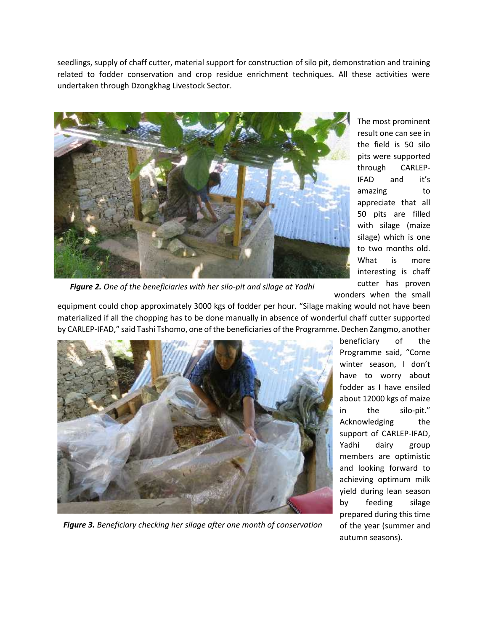seedlings, supply of chaff cutter, material support for construction of silo pit, demonstration and training related to fodder conservation and crop residue enrichment techniques. All these activities were undertaken through Dzongkhag Livestock Sector.



The most prominent result one can see in the field is 50 silo pits were supported through CARLEP-IFAD and it's amazing to appreciate that all 50 pits are filled with silage (maize silage) which is one to two months old. What is more interesting is chaff cutter has proven wonders when the small

*Figure 2. One of the beneficiaries with her silo-pit and silage at Yadhi*

equipment could chop approximately 3000 kgs of fodder per hour. "Silage making would not have been materialized if all the chopping has to be done manually in absence of wonderful chaff cutter supported by CARLEP-IFAD," said Tashi Tshomo, one of the beneficiaries of the Programme. Dechen Zangmo, another



winter season, I don't have to worry about fodder as I have ensiled about 12000 kgs of maize in the silo-pit." Acknowledging the support of CARLEP-IFAD, Yadhi dairy group members are optimistic and looking forward to achieving optimum milk yield during lean season by feeding silage prepared during this time of the year (summer and autumn seasons).

beneficiary of the Programme said, "Come

*Figure 3. Beneficiary checking her silage after one month of conservation*